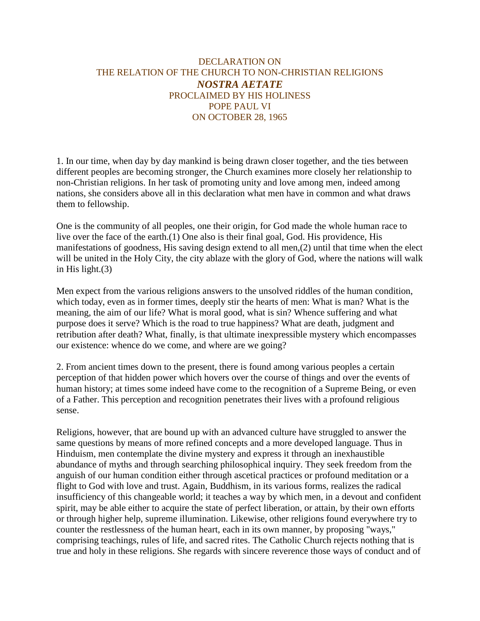## DECLARATION ON THE RELATION OF THE CHURCH TO NON-CHRISTIAN RELIGIONS *NOSTRA AETATE* PROCLAIMED BY HIS HOLINESS POPE PAUL VI ON OCTOBER 28, 1965

1. In our time, when day by day mankind is being drawn closer together, and the ties between different peoples are becoming stronger, the Church examines more closely her relationship to non-Christian religions. In her task of promoting unity and love among men, indeed among nations, she considers above all in this declaration what men have in common and what draws them to fellowship.

One is the community of all peoples, one their origin, for God made the whole human race to live over the face of the earth.(1) One also is their final goal, God. His providence, His manifestations of goodness, His saving design extend to all men,(2) until that time when the elect will be united in the Holy City, the city ablaze with the glory of God, where the nations will walk in His light.(3)

Men expect from the various religions answers to the unsolved riddles of the human condition, which today, even as in former times, deeply stir the hearts of men: What is man? What is the meaning, the aim of our life? What is moral good, what is sin? Whence suffering and what purpose does it serve? Which is the road to true happiness? What are death, judgment and retribution after death? What, finally, is that ultimate inexpressible mystery which encompasses our existence: whence do we come, and where are we going?

2. From ancient times down to the present, there is found among various peoples a certain perception of that hidden power which hovers over the course of things and over the events of human history; at times some indeed have come to the recognition of a Supreme Being, or even of a Father. This perception and recognition penetrates their lives with a profound religious sense.

Religions, however, that are bound up with an advanced culture have struggled to answer the same questions by means of more refined concepts and a more developed language. Thus in Hinduism, men contemplate the divine mystery and express it through an inexhaustible abundance of myths and through searching philosophical inquiry. They seek freedom from the anguish of our human condition either through ascetical practices or profound meditation or a flight to God with love and trust. Again, Buddhism, in its various forms, realizes the radical insufficiency of this changeable world; it teaches a way by which men, in a devout and confident spirit, may be able either to acquire the state of perfect liberation, or attain, by their own efforts or through higher help, supreme illumination. Likewise, other religions found everywhere try to counter the restlessness of the human heart, each in its own manner, by proposing "ways," comprising teachings, rules of life, and sacred rites. The Catholic Church rejects nothing that is true and holy in these religions. She regards with sincere reverence those ways of conduct and of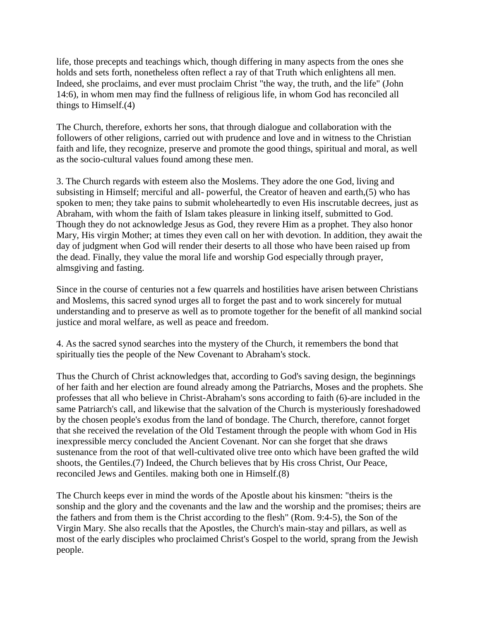life, those precepts and teachings which, though differing in many aspects from the ones she holds and sets forth, nonetheless often reflect a ray of that Truth which enlightens all men. Indeed, she proclaims, and ever must proclaim Christ "the way, the truth, and the life" (John 14:6), in whom men may find the fullness of religious life, in whom God has reconciled all things to Himself.(4)

The Church, therefore, exhorts her sons, that through dialogue and collaboration with the followers of other religions, carried out with prudence and love and in witness to the Christian faith and life, they recognize, preserve and promote the good things, spiritual and moral, as well as the socio-cultural values found among these men.

3. The Church regards with esteem also the Moslems. They adore the one God, living and subsisting in Himself; merciful and all- powerful, the Creator of heaven and earth,(5) who has spoken to men; they take pains to submit wholeheartedly to even His inscrutable decrees, just as Abraham, with whom the faith of Islam takes pleasure in linking itself, submitted to God. Though they do not acknowledge Jesus as God, they revere Him as a prophet. They also honor Mary, His virgin Mother; at times they even call on her with devotion. In addition, they await the day of judgment when God will render their deserts to all those who have been raised up from the dead. Finally, they value the moral life and worship God especially through prayer, almsgiving and fasting.

Since in the course of centuries not a few quarrels and hostilities have arisen between Christians and Moslems, this sacred synod urges all to forget the past and to work sincerely for mutual understanding and to preserve as well as to promote together for the benefit of all mankind social justice and moral welfare, as well as peace and freedom.

4. As the sacred synod searches into the mystery of the Church, it remembers the bond that spiritually ties the people of the New Covenant to Abraham's stock.

Thus the Church of Christ acknowledges that, according to God's saving design, the beginnings of her faith and her election are found already among the Patriarchs, Moses and the prophets. She professes that all who believe in Christ-Abraham's sons according to faith (6)-are included in the same Patriarch's call, and likewise that the salvation of the Church is mysteriously foreshadowed by the chosen people's exodus from the land of bondage. The Church, therefore, cannot forget that she received the revelation of the Old Testament through the people with whom God in His inexpressible mercy concluded the Ancient Covenant. Nor can she forget that she draws sustenance from the root of that well-cultivated olive tree onto which have been grafted the wild shoots, the Gentiles.(7) Indeed, the Church believes that by His cross Christ, Our Peace, reconciled Jews and Gentiles. making both one in Himself.(8)

The Church keeps ever in mind the words of the Apostle about his kinsmen: "theirs is the sonship and the glory and the covenants and the law and the worship and the promises; theirs are the fathers and from them is the Christ according to the flesh" (Rom. 9:4-5), the Son of the Virgin Mary. She also recalls that the Apostles, the Church's main-stay and pillars, as well as most of the early disciples who proclaimed Christ's Gospel to the world, sprang from the Jewish people.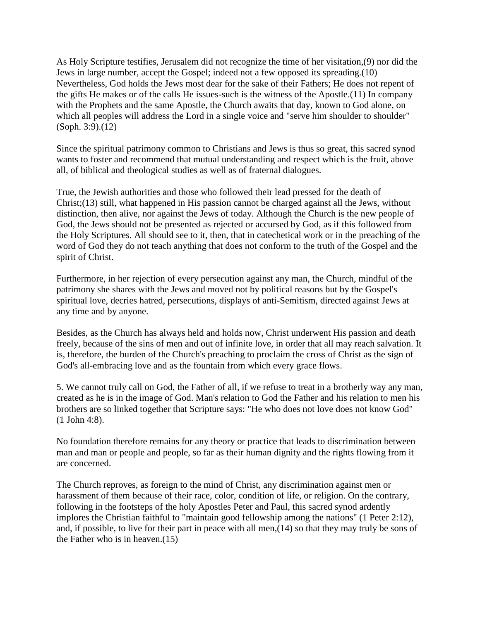As Holy Scripture testifies, Jerusalem did not recognize the time of her visitation,(9) nor did the Jews in large number, accept the Gospel; indeed not a few opposed its spreading.(10) Nevertheless, God holds the Jews most dear for the sake of their Fathers; He does not repent of the gifts He makes or of the calls He issues-such is the witness of the Apostle.(11) In company with the Prophets and the same Apostle, the Church awaits that day, known to God alone, on which all peoples will address the Lord in a single voice and "serve him shoulder to shoulder" (Soph. 3:9).(12)

Since the spiritual patrimony common to Christians and Jews is thus so great, this sacred synod wants to foster and recommend that mutual understanding and respect which is the fruit, above all, of biblical and theological studies as well as of fraternal dialogues.

True, the Jewish authorities and those who followed their lead pressed for the death of Christ;(13) still, what happened in His passion cannot be charged against all the Jews, without distinction, then alive, nor against the Jews of today. Although the Church is the new people of God, the Jews should not be presented as rejected or accursed by God, as if this followed from the Holy Scriptures. All should see to it, then, that in catechetical work or in the preaching of the word of God they do not teach anything that does not conform to the truth of the Gospel and the spirit of Christ.

Furthermore, in her rejection of every persecution against any man, the Church, mindful of the patrimony she shares with the Jews and moved not by political reasons but by the Gospel's spiritual love, decries hatred, persecutions, displays of anti-Semitism, directed against Jews at any time and by anyone.

Besides, as the Church has always held and holds now, Christ underwent His passion and death freely, because of the sins of men and out of infinite love, in order that all may reach salvation. It is, therefore, the burden of the Church's preaching to proclaim the cross of Christ as the sign of God's all-embracing love and as the fountain from which every grace flows.

5. We cannot truly call on God, the Father of all, if we refuse to treat in a brotherly way any man, created as he is in the image of God. Man's relation to God the Father and his relation to men his brothers are so linked together that Scripture says: "He who does not love does not know God" (1 John 4:8).

No foundation therefore remains for any theory or practice that leads to discrimination between man and man or people and people, so far as their human dignity and the rights flowing from it are concerned.

The Church reproves, as foreign to the mind of Christ, any discrimination against men or harassment of them because of their race, color, condition of life, or religion. On the contrary, following in the footsteps of the holy Apostles Peter and Paul, this sacred synod ardently implores the Christian faithful to "maintain good fellowship among the nations" (1 Peter 2:12), and, if possible, to live for their part in peace with all men, $(14)$  so that they may truly be sons of the Father who is in heaven.(15)